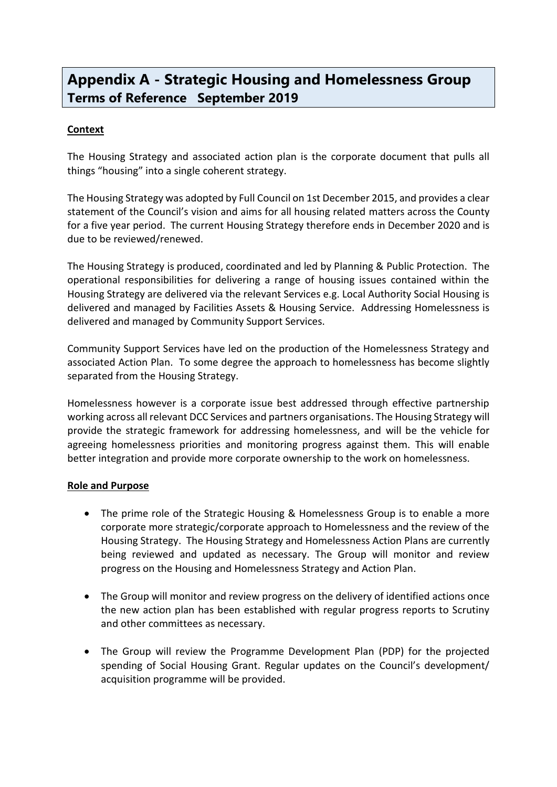## **Appendix A - Strategic Housing and Homelessness Group Terms of Reference September 2019**

## **Context**

The Housing Strategy and associated action plan is the corporate document that pulls all things "housing" into a single coherent strategy.

The Housing Strategy was adopted by Full Council on 1st December 2015, and provides a clear statement of the Council's vision and aims for all housing related matters across the County for a five year period. The current Housing Strategy therefore ends in December 2020 and is due to be reviewed/renewed.

The Housing Strategy is produced, coordinated and led by Planning & Public Protection. The operational responsibilities for delivering a range of housing issues contained within the Housing Strategy are delivered via the relevant Services e.g. Local Authority Social Housing is delivered and managed by Facilities Assets & Housing Service. Addressing Homelessness is delivered and managed by Community Support Services.

Community Support Services have led on the production of the Homelessness Strategy and associated Action Plan. To some degree the approach to homelessness has become slightly separated from the Housing Strategy.

Homelessness however is a corporate issue best addressed through effective partnership working across all relevant DCC Services and partners organisations. The Housing Strategy will provide the strategic framework for addressing homelessness, and will be the vehicle for agreeing homelessness priorities and monitoring progress against them. This will enable better integration and provide more corporate ownership to the work on homelessness.

## **Role and Purpose**

- The prime role of the Strategic Housing & Homelessness Group is to enable a more corporate more strategic/corporate approach to Homelessness and the review of the Housing Strategy. The Housing Strategy and Homelessness Action Plans are currently being reviewed and updated as necessary. The Group will monitor and review progress on the Housing and Homelessness Strategy and Action Plan.
- The Group will monitor and review progress on the delivery of identified actions once the new action plan has been established with regular progress reports to Scrutiny and other committees as necessary.
- The Group will review the Programme Development Plan (PDP) for the projected spending of Social Housing Grant. Regular updates on the Council's development/ acquisition programme will be provided.